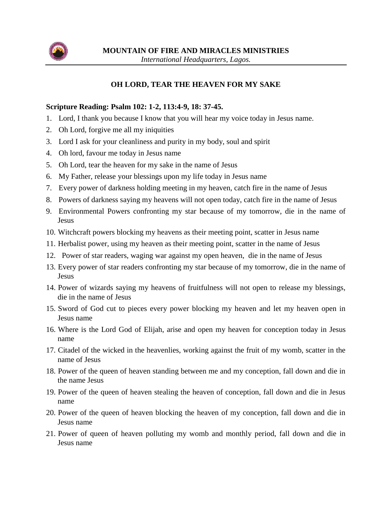

## **OH LORD, TEAR THE HEAVEN FOR MY SAKE**

## **Scripture Reading: Psalm 102: 1-2, 113:4-9, 18: 37-45.**

- 1. Lord, I thank you because I know that you will hear my voice today in Jesus name.
- 2. Oh Lord, forgive me all my iniquities
- 3. Lord I ask for your cleanliness and purity in my body, soul and spirit
- 4. Oh lord, favour me today in Jesus name
- 5. Oh Lord, tear the heaven for my sake in the name of Jesus
- 6. My Father, release your blessings upon my life today in Jesus name
- 7. Every power of darkness holding meeting in my heaven, catch fire in the name of Jesus
- 8. Powers of darkness saying my heavens will not open today, catch fire in the name of Jesus
- 9. Environmental Powers confronting my star because of my tomorrow, die in the name of Jesus
- 10. Witchcraft powers blocking my heavens as their meeting point, scatter in Jesus name
- 11. Herbalist power, using my heaven as their meeting point, scatter in the name of Jesus
- 12. Power of star readers, waging war against my open heaven, die in the name of Jesus
- 13. Every power of star readers confronting my star because of my tomorrow, die in the name of Jesus
- 14. Power of wizards saying my heavens of fruitfulness will not open to release my blessings, die in the name of Jesus
- 15. Sword of God cut to pieces every power blocking my heaven and let my heaven open in Jesus name
- 16. Where is the Lord God of Elijah, arise and open my heaven for conception today in Jesus name
- 17. Citadel of the wicked in the heavenlies, working against the fruit of my womb, scatter in the name of Jesus
- 18. Power of the queen of heaven standing between me and my conception, fall down and die in the name Jesus
- 19. Power of the queen of heaven stealing the heaven of conception, fall down and die in Jesus name
- 20. Power of the queen of heaven blocking the heaven of my conception, fall down and die in Jesus name
- 21. Power of queen of heaven polluting my womb and monthly period, fall down and die in Jesus name